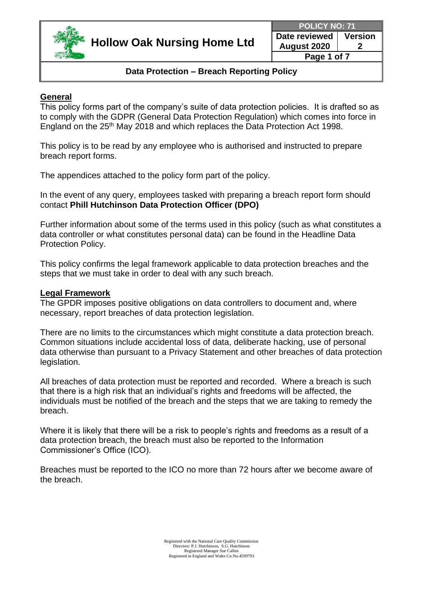

**Page 1 of 7**

# **Data Protection – Breach Reporting Policy**

### **General**

This policy forms part of the company's suite of data protection policies. It is drafted so as to comply with the GDPR (General Data Protection Regulation) which comes into force in England on the 25th May 2018 and which replaces the Data Protection Act 1998.

This policy is to be read by any employee who is authorised and instructed to prepare breach report forms.

The appendices attached to the policy form part of the policy.

In the event of any query, employees tasked with preparing a breach report form should contact **Phill Hutchinson Data Protection Officer (DPO)**

Further information about some of the terms used in this policy (such as what constitutes a data controller or what constitutes personal data) can be found in the Headline Data Protection Policy.

This policy confirms the legal framework applicable to data protection breaches and the steps that we must take in order to deal with any such breach.

### **Legal Framework**

The GPDR imposes positive obligations on data controllers to document and, where necessary, report breaches of data protection legislation.

There are no limits to the circumstances which might constitute a data protection breach. Common situations include accidental loss of data, deliberate hacking, use of personal data otherwise than pursuant to a Privacy Statement and other breaches of data protection legislation.

All breaches of data protection must be reported and recorded. Where a breach is such that there is a high risk that an individual's rights and freedoms will be affected, the individuals must be notified of the breach and the steps that we are taking to remedy the breach.

Where it is likely that there will be a risk to people's rights and freedoms as a result of a data protection breach, the breach must also be reported to the Information Commissioner's Office (ICO).

Breaches must be reported to the ICO no more than 72 hours after we become aware of the breach.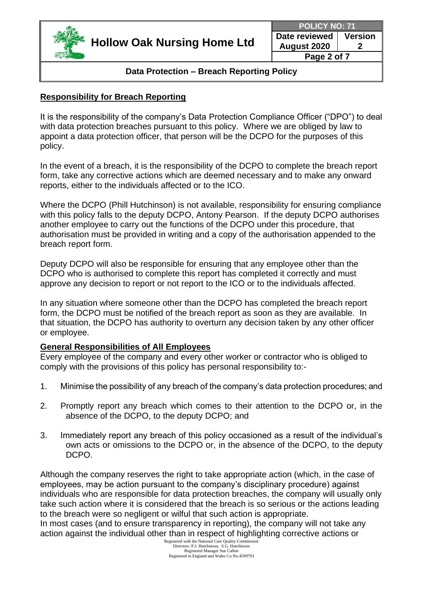

# **Data Protection – Breach Reporting Policy**

### **Responsibility for Breach Reporting**

It is the responsibility of the company's Data Protection Compliance Officer ("DPO") to deal with data protection breaches pursuant to this policy. Where we are obliged by law to appoint a data protection officer, that person will be the DCPO for the purposes of this policy.

In the event of a breach, it is the responsibility of the DCPO to complete the breach report form, take any corrective actions which are deemed necessary and to make any onward reports, either to the individuals affected or to the ICO.

Where the DCPO (Phill Hutchinson) is not available, responsibility for ensuring compliance with this policy falls to the deputy DCPO, Antony Pearson. If the deputy DCPO authorises another employee to carry out the functions of the DCPO under this procedure, that authorisation must be provided in writing and a copy of the authorisation appended to the breach report form.

Deputy DCPO will also be responsible for ensuring that any employee other than the DCPO who is authorised to complete this report has completed it correctly and must approve any decision to report or not report to the ICO or to the individuals affected.

In any situation where someone other than the DCPO has completed the breach report form, the DCPO must be notified of the breach report as soon as they are available. In that situation, the DCPO has authority to overturn any decision taken by any other officer or employee.

### **General Responsibilities of All Employees**

Every employee of the company and every other worker or contractor who is obliged to comply with the provisions of this policy has personal responsibility to:-

- 1. Minimise the possibility of any breach of the company's data protection procedures; and
- 2. Promptly report any breach which comes to their attention to the DCPO or, in the absence of the DCPO, to the deputy DCPO; and
- 3. Immediately report any breach of this policy occasioned as a result of the individual's own acts or omissions to the DCPO or, in the absence of the DCPO, to the deputy DCPO.

Although the company reserves the right to take appropriate action (which, in the case of employees, may be action pursuant to the company's disciplinary procedure) against individuals who are responsible for data protection breaches, the company will usually only take such action where it is considered that the breach is so serious or the actions leading to the breach were so negligent or wilful that such action is appropriate.

In most cases (and to ensure transparency in reporting), the company will not take any action against the individual other than in respect of highlighting corrective actions or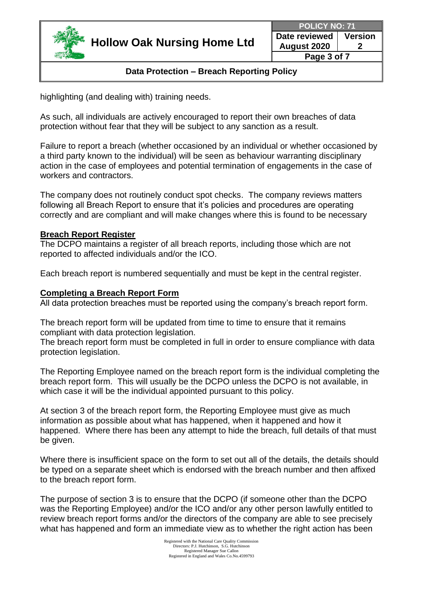

# **Data Protection – Breach Reporting Policy**

highlighting (and dealing with) training needs.

As such, all individuals are actively encouraged to report their own breaches of data protection without fear that they will be subject to any sanction as a result.

Failure to report a breach (whether occasioned by an individual or whether occasioned by a third party known to the individual) will be seen as behaviour warranting disciplinary action in the case of employees and potential termination of engagements in the case of workers and contractors.

The company does not routinely conduct spot checks. The company reviews matters following all Breach Report to ensure that it's policies and procedures are operating correctly and are compliant and will make changes where this is found to be necessary

### **Breach Report Register**

The DCPO maintains a register of all breach reports, including those which are not reported to affected individuals and/or the ICO.

Each breach report is numbered sequentially and must be kept in the central register.

#### **Completing a Breach Report Form**

All data protection breaches must be reported using the company's breach report form.

The breach report form will be updated from time to time to ensure that it remains compliant with data protection legislation.

The breach report form must be completed in full in order to ensure compliance with data protection legislation.

The Reporting Employee named on the breach report form is the individual completing the breach report form. This will usually be the DCPO unless the DCPO is not available, in which case it will be the individual appointed pursuant to this policy.

At section 3 of the breach report form, the Reporting Employee must give as much information as possible about what has happened, when it happened and how it happened. Where there has been any attempt to hide the breach, full details of that must be given.

Where there is insufficient space on the form to set out all of the details, the details should be typed on a separate sheet which is endorsed with the breach number and then affixed to the breach report form.

The purpose of section 3 is to ensure that the DCPO (if someone other than the DCPO was the Reporting Employee) and/or the ICO and/or any other person lawfully entitled to review breach report forms and/or the directors of the company are able to see precisely what has happened and form an immediate view as to whether the right action has been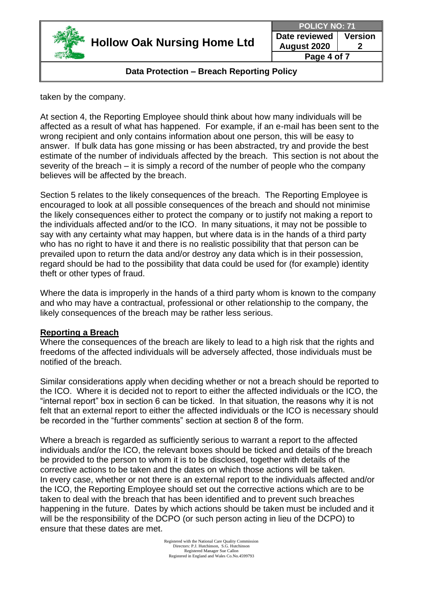

**POLICY NO: 71 Date reviewed August 2020 Version 2 Page 4 of 7**

# **Data Protection – Breach Reporting Policy**

taken by the company.

At section 4, the Reporting Employee should think about how many individuals will be affected as a result of what has happened. For example, if an e-mail has been sent to the wrong recipient and only contains information about one person, this will be easy to answer. If bulk data has gone missing or has been abstracted, try and provide the best estimate of the number of individuals affected by the breach. This section is not about the severity of the breach – it is simply a record of the number of people who the company believes will be affected by the breach.

Section 5 relates to the likely consequences of the breach. The Reporting Employee is encouraged to look at all possible consequences of the breach and should not minimise the likely consequences either to protect the company or to justify not making a report to the individuals affected and/or to the ICO. In many situations, it may not be possible to say with any certainty what may happen, but where data is in the hands of a third party who has no right to have it and there is no realistic possibility that that person can be prevailed upon to return the data and/or destroy any data which is in their possession, regard should be had to the possibility that data could be used for (for example) identity theft or other types of fraud.

Where the data is improperly in the hands of a third party whom is known to the company and who may have a contractual, professional or other relationship to the company, the likely consequences of the breach may be rather less serious.

## **Reporting a Breach**

Where the consequences of the breach are likely to lead to a high risk that the rights and freedoms of the affected individuals will be adversely affected, those individuals must be notified of the breach.

Similar considerations apply when deciding whether or not a breach should be reported to the ICO. Where it is decided not to report to either the affected individuals or the ICO, the "internal report" box in section 6 can be ticked. In that situation, the reasons why it is not felt that an external report to either the affected individuals or the ICO is necessary should be recorded in the "further comments" section at section 8 of the form.

Where a breach is regarded as sufficiently serious to warrant a report to the affected individuals and/or the ICO, the relevant boxes should be ticked and details of the breach be provided to the person to whom it is to be disclosed, together with details of the corrective actions to be taken and the dates on which those actions will be taken. In every case, whether or not there is an external report to the individuals affected and/or the ICO, the Reporting Employee should set out the corrective actions which are to be taken to deal with the breach that has been identified and to prevent such breaches happening in the future. Dates by which actions should be taken must be included and it will be the responsibility of the DCPO (or such person acting in lieu of the DCPO) to ensure that these dates are met.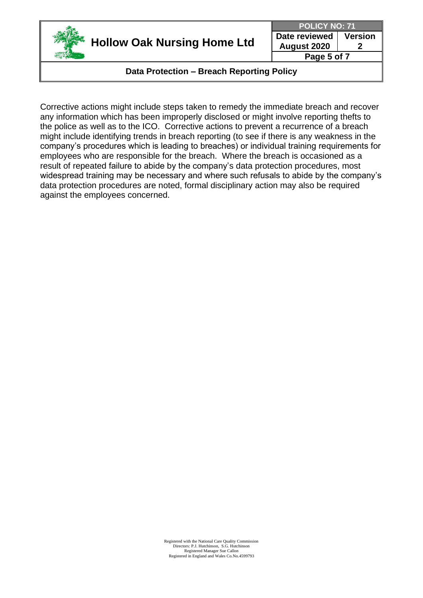

**POLICY NO: 71 Date reviewed August 2020 Version 2 Page 5 of 7**

# **Data Protection – Breach Reporting Policy**

Corrective actions might include steps taken to remedy the immediate breach and recover any information which has been improperly disclosed or might involve reporting thefts to the police as well as to the ICO. Corrective actions to prevent a recurrence of a breach might include identifying trends in breach reporting (to see if there is any weakness in the company's procedures which is leading to breaches) or individual training requirements for employees who are responsible for the breach. Where the breach is occasioned as a result of repeated failure to abide by the company's data protection procedures, most widespread training may be necessary and where such refusals to abide by the company's data protection procedures are noted, formal disciplinary action may also be required against the employees concerned.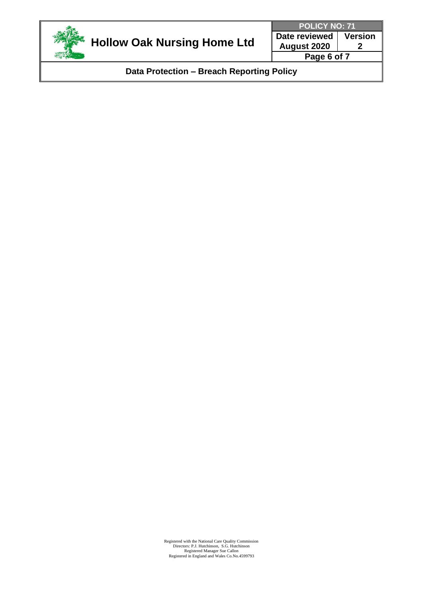|                                           | <b>Hollow Oak Nursing Home Ltd</b> | <b>POLICY NO: 71</b> |                |  |
|-------------------------------------------|------------------------------------|----------------------|----------------|--|
|                                           |                                    | Date reviewed        | <b>Version</b> |  |
|                                           |                                    | August 2020          | כי             |  |
|                                           |                                    | Page 6 of 7          |                |  |
| Data Protection - Breach Reporting Policy |                                    |                      |                |  |